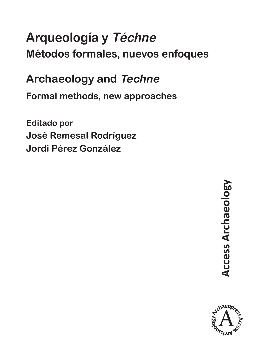# **Arqueología y Téchne Métodos formales, nuevos enfoques**

**Archaeology and Techne Formal methods, new approaches**

**Editado por José Remesal Rodríguez Jordi Pérez González**

> **Access Archaeology Access Archaeology**

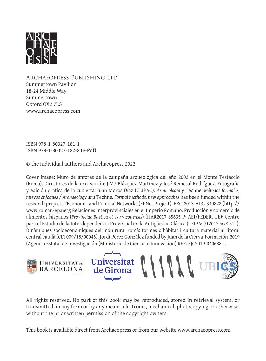

Archaeopress Publishing Ltd Summertown Pavilion 18-24 Middle Way Summertown Oxford OX2 7LG www.archaeopress.com

ISBN 978-1-80327-181-1 ISBN 978-1-80327-182-8 (e-Pdf)

© the individual authors and Archaeopress 2022

Cover image: Muro de ánforas de la campaña arqueológica del año 2002 en el Monte Testaccio (Roma). Directores de la excavación: J.M.ª Blázquez Martínez y José Remesal Rodríguez. Fotografía y edición gráfi ca de la cubierta: Juan Moros Díaz (CEIPAC). *Arqueología y* Téchne*. Métodos formales, nuevos enfoques / Archaeology and* Techne*. Formal methods, new approaches* has been funded within the research projects "Economic and Political Networks (EPNet Project), ERC-2013-ADG-340828 (http:// www.roman-ep.net); Relaciones Interprovinciales en el Imperio Romano. Producción y comercio de alimentos hispanos (*Provinciae Baetica et Tarraconensis*) (HAR2017-85635-P; AEI/FEDER, UE); Centro para el Estudio de la Interdependencia Provincial en la Antigüedad Clásica (CEIPAC) (2017 SGR 512); Dinàmiques socioeconòmiques del món rural romà: formes d'hàbitat i cultura material al litoral central català (CLT009/18/00045). Jordi Pérez González funded by Juan de la Cierva-Formación-2019 (Agencia Estatal de Investigación (Ministerio de Ciencia e Innovación) REF: FJC2019-040688-I.





All rights reserved. No part of this book may be reproduced, stored in retrieval system, or transmitted, in any form or by any means, electronic, mechanical, photocopying or otherwise, without the prior written permission of the copyright owners.

This book is available direct from Archaeopress or from our website www.archaeopress.com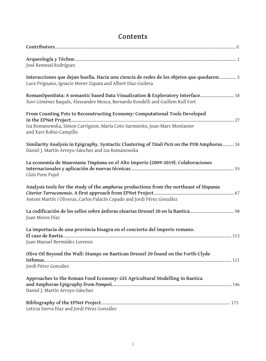| José Remesal Rodríguez                                                                                                                                                               |
|--------------------------------------------------------------------------------------------------------------------------------------------------------------------------------------|
| Interacciones que dejan huella. Hacia una ciencia de redes de los objetos que quedaron 5<br>Luce Prignano, Ignacio Morer Zapata and Albert Díaz-Guilera                              |
| RomanOpenData: A semantic based Data Visualization & Exploratory Interface 18<br>Xavi Giménez Baqués, Alessandro Mosca, Bernardo Rondelli and Guillem Rull Fort                      |
| From Counting Pots to Reconstructing Economy: Computational Tools Developed<br>Iza Romanowska, Simon Carrignon, María Coto-Sarmiento, Jean-Marc Montanier<br>and Xavi Rubio-Campillo |
| Similarity Analysis in Epigraphy. Syntactic Clustering of Tituli Picti on the PO8 Amphoras 34<br>Daniel J. Martín Arroyo-Sánchez and Iza Romanowska                                  |
| La economía de Mauretania Tingitana en el Alto Imperio (2009-2019). Colaboraciones<br>Lluís Pons Pujol                                                                               |
| Analysis tools for the study of the amphorae productions from the northeast of Hispania<br>Antoni Martín i Oliveras, Carlos Palacín Copado and Jordi Pérez González                  |
| Juan Moros Díaz                                                                                                                                                                      |
| La importacia de una provincia bisagra en el concierto del Imperio romano.<br>Juan Manuel Bermúdez Lorenzo                                                                           |
| Olive Oil Beyond the Wall: Stamps on Baetican Dressel 20 found on the Forth-Clyde<br>Jordi Pérez González                                                                            |
| Approaches to the Roman Food Economy: GIS Agricultural Modelling in Baetica<br>Daniel J. Martín Arroyo-Sánchez                                                                       |
| Leticia Sierra Díaz and Jordi Pérez González                                                                                                                                         |

## **Contents**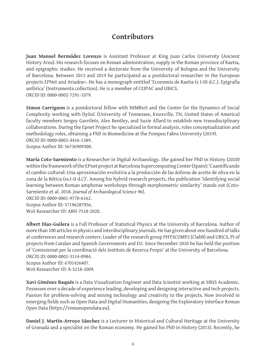### **Contributors**

**Juan Manuel Bermúdez Lorenzo** is Assistant Professor at King Juan Carlos University (Ancient History Area). His research focuses on Roman administration, supply in the Roman province of Raetia, and epigraphic studies. He received a doctorate from the University of Bologna and the University of Barcelona. Between 2013 and 2019 he participated as a postdoctoral researcher in the European projects EPNet and Ariadne+. He has a monograph entitled 'Economía de Raetia (s I-III d.C.). Epigrafía anfórica' (Instrumenta collection). He is a member of CEIPAC and UBICS. ORCID ID: 0000-0002-7291-1079.

**Simon Carrignon** is a postdoctoral fellow with NIMBioS and the Center for the Dynamics of Social Complexity working with DySoC (University of Tennessee, Knoxville, TN, United States of America) faculty members Sergey Gavrilets, Alex Bentley, and Suzie Allard to establish new transdisciplinary collaborations. During the Epnet Project he specialized in formal analysis, roles conceptualization and methodology roles, obtaining a PhD in Biomedicine at the Pompeu Fabra University (2019). ORCID ID: 0000-0002-4416-1389. Scopus Author ID: 56736909300.

**María Coto-Sarmiento** is a Researcher in Digital Archaeology. She gained her PhD in History (2020) within the framework of the EPnet project at Barcelona Supercomputing Center (Spain): 'Cuantificando el cambio cultural: Una aproximación evolutiva a la producción de las ánforas de aceite de oliva en la zona de la Bética (ss.I-II d.C)'. Among his hybrid research projects, the publication 'Identifying social learning between Roman amphorae workshops through morphometric similarity' stands out (Coto-Sarmiento et al. 2018. *Journal of Archaeological Science* 96). ORCID ID: 0000-0001-9770-6162. Scopus Author ID: 57196287956.

WoS Researcher ID: ABH-7518-2020.

**Albert Díaz-Guilera** is a Full Professor of Statistical Physics at the University of Barcelona. Author of more than 100 articles in physics and interdisciplinary journals. He has given about one hundred of talks at conferences and research centers. Leader of the research group PHYSCOMP2 (ClabB) and UBICS, PI of projects from Catalan and Spanish Governments and EU. Since December 2020 he has held the position of 'Comissionat per la coordinació dels Instituts de Recerca Propis' at the University of Barcelona. ORCID ID: 0000-0002-3114-0984. Scopus Author ID: 6701426407. WoS Researcher ID: A-5218-2009.

**Xavi Giménez Baqués** is a Data Visualization Engineer and Data Scientist working at SIRIS Academic. Possesses over a decade of experience leading, developing and designing interactive and tech projects. Passion for problem-solving and mixing technology and creativity to the projects. Now involved in emerging fields such as Open Data and Digital Humanities, designing the Exploratory interface Roman Open Data (https://romanopendata.eu).

**Daniel J. Martín-Arroyo Sánchez** is a Lecturer in Historical and Cultural Heritage at the University of Granada and a specialist on the Roman economy. He gained his PhD in History (2013). Recently, he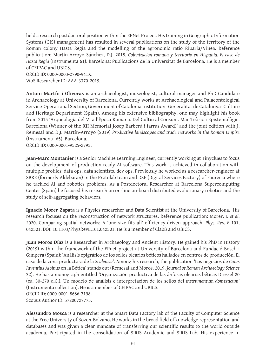held a research postdoctoral position within the EPNet Project. His training in Geographic Information Systems (GIS) management has resulted in several publications on the study of the territory of the Roman colony Hasta Regia and the modelling of the agronomic ratio Riparia/Vinea. Reference publication: Martín-Arroyo Sánchez, D.J. 2018. *Colonización romana y territorio en Hispania. El caso de Hasta Regia* (Instrumenta 61). Barcelona: Publicacions de la Universitat de Barcelona. He is a member of CEIPAC and UBICS.

ORCID ID: 0000-0003-2790-941X. WoS Researcher ID: AAA-3370-2019.

**Antoni Martín i Oliveras** is an archaeologist, museologist, cultural manager and PhD Candidate in Archaeology at University of Barcelona. Currently works at Archaeological and Palaeontological Service-Operational Section; Government of Catalonia Institution -Generalitat de Catalunya- Culture and Heritage Department (Spain). Among his extensive bibliography, one may highlight his book from 2015 'Arqueología del Vi a l'Época Romana. Del Cultiu al Consum. Mar Teòric i Epistemològic. Barcelona (Winner of the XII Memorial Josep Barberà i farràs Award)' and the joint edition with J. Remesal and D.J. Martín-Arroyo (2019) *Productive landscapes and trade networks in the Roman Empire*  (Instrumenta 65). Barcelona.

ORCID ID: 0000-0001-9525-2793.

**Jean-Marc Montanier** is a Senior Machine Learning Engineer, currently working at Tinyclues to focus on the development of production-ready AI software. This work is achieved in collaboration with multiple profiles: data ops, data scientists, dev ops. Previously he worked as a researcher-engineer at SBRE (formerly Aldebaran) in the Protolab team and DSF (Digital Services Factory) of Faurecia where he tackled AI and robotics problems. As a Postdoctoral Researcher at Barcelona Supercomputing Center (Spain) he focused his research on on-line on-board distributed evolutionary robotics and the study of self-aggregating behaviors.

**Ignacio Morer Zapata** is a Physics researcher and Data Scientist at the University of Barcelona. His research focuses on the reconstruction of network structures. Reference publication: Morer, I. *et al*. 2020. Comparing spatial networks: A 'one size fits all' efficiency-driven approach. *Phys. Rev. E* 101, 042301. DOI: 10.1103/PhysRevE.101.042301. He is a member of ClabB and UBICS.

**Juan Moros Díaz** is a Researcher in Archaeology and Ancient History. He gained his PhD in History (2019) within the framework of the EPnet project at University of Barcelona and Fundació Bosch i Gimpera (Spain): 'Análisis epigráfico de los sellos olearios béticos hallados en centros de producción. El caso de la zona productora de la *Scalensia'*. Among his research, the publication 'Los negocios de *Caius Iuventius Albinus* en la Bética' stands out (Remesal and Moros. 2019. *Journal of Roman Archaeology Science* 32). He has a monograph entitled 'Organización productiva de las ánforas olearias béticas Dressel 20 (ca. 30-270 d.C.). Un modelo de análisis e interpretación de los sellos del *instrumentum domesticum*' (Instrumenta collection). He is a member of CEIPAC and UBICS. ORCID ID: 0000-0001-8686-7198. Scopus Author ID: 57200727773.

**Alessandro Mosca** is a researcher at the Smart Data Factory lab of the Faculty of Computer Science at the Free University of Bozen-Bolzano. He works in the broad field of knowledge representation and databases and was given a clear mandate of transferring our scientific results to the world outside academia. Participated in the consolidation of SIRIS Academic and SIRIS Lab. His experience in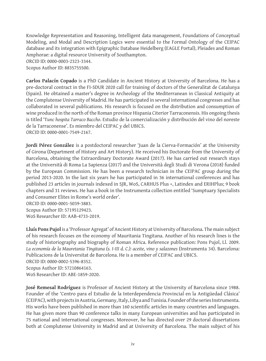Knowledge Representation and Reasoning, Intelligent data management, Foundations of Conceptual Modeling, and Modal and Description Logics were essential to the Formal Ontology of the CEIPAC database and its integration with Epigraphic Database Heidelberg (EAGLE Portal), Pleiades and Roman Amphorae: a digital resource University of Southampton.

ORCID ID: 0000-0003-2323-3344.

Scopus Author ID: 8835755500.

**Carlos Palacín Copado** is a PhD Candidate in Ancient History at University of Barcelona. He has a pre-doctoral contract in the FI-SDUR 2020 call for training of doctors of the Generalitat de Catalunya (Spain). He obtained a master's degree in Archeology of the Mediterranean in Classical Antiquity at the Complutense University of Madrid. He has participated in several international congresses and has collaborated in several publications. His research is focused on the distribution and consumption of wine produced in the north of the Roman province Hispania Citerior Tarraconensis. His ongoing thesis is titled 'T*unc hospita Tarraco Baccho*. Estudio de la comercialización y distribución del vino del noreste de la Tarraconense'. Es miembro del CEIPAC y del UBICS. ORCID ID: 0000-0001-7549-2167.

**Jordi Pérez González** is a postdoctoral researcher 'Juan de la Cierva-Formación' at the University of Girona (Department of History and Art History). He received his Doctorate from the University of Barcelona, obtaining the Extraordinary Doctorate Award (2017). He has carried out research stays at the Università di Roma La Sapienza (2017) and the Università degli Studi di Verona (2018) funded by the European Commission. He has been a research technician in the CEIPAC group during the period 2013-2020. In the last six years he has participated in 36 international conferences and has published 23 articles in journals indexed in SJR, WoS, CARHUS Plus +, Latindex and ERIHPlus; 9 book chapters and 31 reviews. He has a book in the Instrumenta collection entitled 'Sumptuary Specialists and Consumer Elites in Rome's world order'.

ORCID ID: 0000-0001-5039-3883. Scopus Author ID: 57195129423. WoS Researcher ID: AAB-4733-2019.

**Lluís Pons Pujol** is a 'Professor Agregat' of Ancient History at University of Barcelona. The main subject of his research focuses on the economy of Mauritania Tingitana. Another of his research lines is the study of historiography and biography of Roman Africa. Reference publication: Pons Pujol, Ll. 2009. La economía de la Mauretania Tingitana (s. I-III d. C.): aceite, vino y salazones (Instrumenta 34). Barcelona: Publicacions de la Universitat de Barcelona. He is a member of CEIPAC and UBICS.

ORCID ID: 0000-0002-5396-8352. Scopus Author ID: 57210864163. WoS Researcher ID: ABE-1859-2020.

**José Remesal Rodríguez** is Professor of Ancient History at the University of Barcelona since 1988. Founder of the 'Centro para el Estudio de la Interdependencia Provincial en la Antigüedad Clásica' (CEIPAC), with projects in Austria, Germany, Italy, Libya and Tunisia. Founder of the series Instrumenta. His works have been published in more than 160 scientific articles in many countries and languages. He has given more than 90 conference talks in many European universities and has participated in 75 national and international congresses. Moreover, he has directed over 29 doctoral dissertations both at Complutense University in Madrid and at University of Barcelona. The main subject of his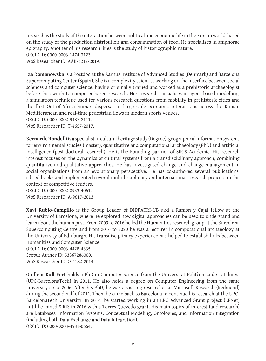research is the study of the interaction between political and economic life in the Roman world, based on the study of the production distribution and consummation of food. He specializes in amphorae epigraphy. Another of his research lines is the study of historiographic nature. ORCID ID: 0000-0003-1474-3123. WoS Researcher ID: AAB-6212-2019.

**Iza Romanowska** is a Postdoc at the Aarhus Institute of Advanced Studies (Denmark) and Barcelona Supercomputing Center (Spain). She is a complexity scientist working on the interface between social sciences and computer science, having originally trained and worked as a prehistoric archaeologist before the switch to computer-based research. Her research specialises in agent-based modelling, a simulation technique used for various research questions from mobility in prehistoric cities and the first Out-of-Africa human dispersal to large-scale economic interactions across the Roman Meditteranean and real-time pedestrian flows in modern sports venues. ORCID ID: 0000-0002-9487-2111.

WoS Researcher ID: T-4657-2017.

**Bernardo Rondelli** is a specialist in cultural heritage study (Degree), geographical information systems for environmental studies (master), quantitative and computational archaeology (PhD) and artificial intelligence (post-doctoral research). He is the Founding partner of SIRIS Academic. His research interest focuses on the dynamics of cultural systems from a transdisciplinary approach, combining quantitative and qualitative approaches. He has investigated change and change management in social organizations from an evolutionary perspective. He has co-authored several publications, edited books and implemented several multidisciplinary and international research projects in the context of competitive tenders.

ORCID ID: 0000-0002-0933-4061. WoS Researcher ID: A-9617-2013

**Xavi Rubio-Campillo** is the Group Leader of DIDPATRI-UB and a Ramón y Cajal fellow at the University of Barcelona, where he explored how digital approaches can be used to understand and learn about the human past. From 2009 to 2016 he led the Humanities research group at the Barcelona Supercomputing Centre and from 2016 to 2020 he was a lecturer in computational archaeology at the University of Edinburgh. His transdisciplinary experience has helped to establish links between Humanities and Computer Science.

ORCID ID: 0000-0003-4428-4335.

Scopus Author ID: 53867286000.

WoS Researcher ID: O-4182-2014.

**Guillem Rull Fort** holds a PhD in Computer Science from the Universitat Politècnica de Catalunya (UPC-BarcelonaTech) in 2011. He also holds a degree on Computer Engineering from the same university since 2006. After his PhD, he was a visiting researcher at Microsoft Research (Redmond) during the second half of 2011. Then, he came back to Barcelona to continue his research at the UPC-BarcelonaTech University. In 2014, he started working in an ERC Advanced Grant project (EPNet) until he joined SIRIS in 2016 with a Torres Quevedo grant. His main topics of interest (and research) are Databases, Information Systems, Conceptual Modeling, Ontologies, and Information Integration (including both Data Exchange and Data Integration). ORCID ID: 0000-0003-4981-0664.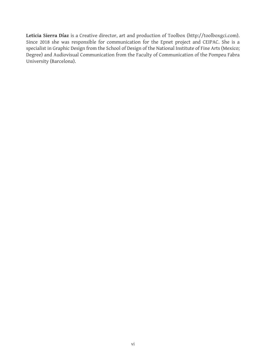Leticia Sierra Díaz is a Creative director, art and production of Toolbox (http://toolboxgci.com). Since 2018 she was responsible for communication for the Epnet project and CEIPAC. She is a specialist in Graphic Design from the School of Design of the National Institute of Fine Arts (Mexico; Degree) and Audiovisual Communication from the Faculty of Communication of the Pompeu Fabra University (Barcelona).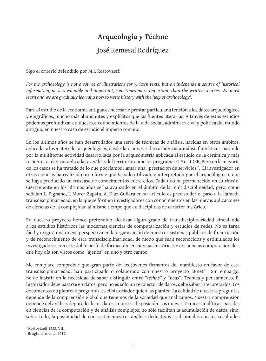# **Arqueología y Téchne**

#### José Remesal Rodríguez

Sigo el criterio defendido por M.I. Rostovzeff:

*For me archaeology is not a source of illustrations for written texts, but an independent source of historical information, no less valuable and important, sometimes more important, than the written sources. We must learn and we are gradually learning how to write history with the help of archaeology1 .* 

Para el estudio de la economía antigua es necesario prestar particular a tención a los datos arqueológicos y epigráficos, mucho más abundantes y explícitos que las fuentes literarias. A través de estos estudios podemos profundizar en nuestros conocimientos de la vida social, administrativa y política del mundo antiguo, en nuestro caso de estudio el imperio romano.

En los últimos años se han desarrollados una serie de técnicas de análisis, nacidas en otros ámbitos, aplicadas a los materiales arqueológicos, desde dataciones radio carbónicas a análisis faunísticos, pasando por la multiforme actividad desarrollada por la arqueometría aplicada al estudio de la cerámica y más recientes a técnicas aplicadas a análisis del territorio como los programas GIS o LIDER. Pero en la mayoría de los casos se ha tratado de lo que podríamos llamar una "prestación de servicios". El investigador en otras ciencias ha realizado un informe que ha sido utilizado e interpretado por el arqueólogo sin que se haya producido un trasvase de conocimientos entre ellos. Cada uno ha permanecido en su rincón. Ciertamente en los últimos años se ha avanzado en el ámbito de la multidisciplineidad, pero, como señalan L. Pignano, I. Morer Zapata, A. Díaz-Guilera en su artículo es preciso dar el paso a la llamada transdisciplinariedad, en la que se formen investigadores con conocimientos en las nuevas aplicaciones de ciencias de la complejidad al mismo tiempo que en disciplinas de carácter histórico.

En nuestro proyecto hemos pretendido alcanzar algún grado de transdisciplinariedad vinculando a los estudios históricos las modernas ciencias de computarización y estudios de redes. No es tarea fácil y exigirá una nueva perspectiva en la organización de nuestros sistemas públicos de financiación y de reconocimiento de esta transdisciplinariedad, de modo que sean reconocidos y estimulados los investigadores con este doble perfil de formación, en ciencias históricas y en ciencias computacionales, que hoy día son vistos como "ajenos" en uno y otro campo.

Me complace comprobar que gran parte de los jóvenes firmantes del manifiesto en favor de esta transdisciplinariedad, han participado o colaborado con nuestro proyecto EPnet $^2$  . Sin embargo, he de insistir en la necesidad de saber distinguir entre "*téchne*" y "*nous*". Técnica y pensamiento. El historiador debe basarse en datos, pero no es sólo un recolector de datos, debe saber interpretarlos. Los documentos no plantean preguntas, es el historiador quien las plantea. La calidad de nuestras preguntas depende de la comprensión global que tenemos de la sociedad que analizamos. Nuestra comprensión depende del análisis depurado de los datos a nuestra disposición. Las nuevas técnicas analíticas, basadas en ciencias de la computación y de análisis complejos, no sólo facilitan la acumulación de datos, sino, sobre todo, la posibilidad de contrastar nuestros análisis deductivos tradicionales con los resultados

<sup>1</sup> Rostovtzeff 1922, VIII.

<sup>2</sup> Brughmans et al. 2019.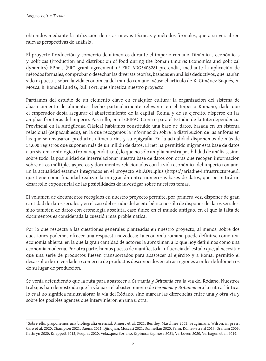obtenidos mediante la utilización de estas nuevas técnicas y métodos formales, que a su vez abren nuevas perspectivas de análisis<sup>3</sup>.

El proyecto Producción y comercio de alimentos durante el imperio romano. Dinámicas económicas y políticas (Production and distribution of food during the Roman Empire: Economics and political dynamics) EPnet. (ERC grant agreement nº ERC-ADG340828) pretendía, mediante la aplicación de métodos formales, comprobar o desechar las diversas teorías, basadas en análisis deductivos, que habían sido expuestas sobre la vida económica del mundo romano, véase el artículo de X. Giménez Baqués, A. Mosca, B. Rondelli and G, Rull Fort, que sintetiza nuestro proyecto.

Partíamos del estudio de un elemento clave en cualquier cultura: la organización del sistema de abastecimiento de alimentos, hecho particularmente relevante en el Imperio Romano, dado que el emperador debía asegurar el abastecimiento de la capital, Roma, y de su ejército, disperso en las amplias fronteras del imperio. Para ello, en el CEIPAC (Centro para el Estudio de la Interdependencia Provincial en la Antigüedad Clásica) habíamos constituido una base de datos, basada en un sistema relacional (ceipac.ub.edu), en la que recogemos la información sobre la distribución de las ánforas en las que se envasaron productos alimentarios y su epigrafía. En la actualidad disponemos de más de 54.000 registros que suponen más de un millón de datos. EPnet ha permitido migrar esta base de datos a un sistema ontológico (romanopendata.eu), lo que no sólo amplía nuestra posibilidad de análisis, sino, sobre todo, la posibilidad de interrelacionar nuestra base de datos con otras que recogen información sobre otros múltiples aspectos y documentos relacionados con la vida económica del imperio romano. En la actualidad estamos integrados en el proyecto ARIADNEplus (https://ariadne-infrastructure.eu), que tiene como finalidad realizar la integración entre numerosas bases de datos, que permitirá un desarrollo exponencial de las posibilidades de investigar sobre nuestros temas.

El volumen de documentos recogidos en nuestro proyecto permite, por primera vez, disponer de gran cantidad de datos seriales y en el caso del estudio del aceite bético no sólo de disponer de datos seriales, sino también de datos con cronología absoluta, caso único en el mundo antiguo, en el que la falta de documentos es considerada la cuestión más problemática.

Por lo que respecta a las cuestiones generales planteadas en nuestro proyecto, al menos, sobre dos cuestiones podemos ofrecer una respuesta novedosa: La economía romana puede definirse como una economía abierta, en la que la gran cantidad de actores la aproximan a lo que hoy definimos como una economía moderna. Por otra parte, hemos puesto de manifiesto la influencia del estado que, al necesitar que una serie de productos fuesen transportados para abastecer al ejército y a Roma, permitió el desarrollo de un verdadero comercio de productos desconocidos en otras regiones a miles de kilómetros de su lugar de producción.

Se venía defendiendo que la ruta para abastecer a *Germania* y *Britannia* era la vía del Ródano. Nuestros trabajos han demostrado que la vía para el abastecimiento de *Germania* y *Britannia* era la ruta atlántica, lo cual no significa minusvalorar la vía del Ródano, sino marcar las diferencias entre una y otra vía y sobre los posibles agentes que intervinieron en una u otra.

<sup>3</sup> Sobre ello, proponemos una bibliografía esencial: Ahnert et al. 2021; Bentley, Maschner 2003; Brughmans, Wilson, in press; Caro et al. 2020; Champion 2021; Daems 2021; Djindjian, Moscati 2021; Donnellan 2020; Fenn, Römer-Strehl 2013; Graham 2006; Kathryn 2020; Knappett 2013; Peeples 2020; Velázquez Soriano, Espinosa Espinosa 2021; Verboven 2020; Verhagen et al. 2019.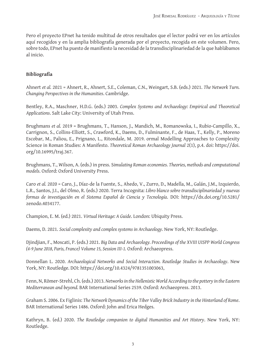Pero el proyecto EPnet ha tenido multitud de otros resultados que el lector podrá ver en los artículos aquí recogidos y en la amplia bibliografía generada por el proyecto, recogida en este volumen. Pero, sobre todo, EPnet ha puesto de manifiesto la necesidad de la transdisciplinariedad de la que hablábamos al inicio.

#### **Bibliografía**

Ahnert *et al.* 2021 = Ahnert, R., Ahnert, S.E., Coleman, C.N., Weingart, S.B. (eds.) 2021. *The Network Turn. Changing Perspectives in the Humanities*. Cambridge.

Bentley, R.A., Maschner, H.D.G. (eds.) 2003. *Complex Systems and Archaeology: Empirical and Theoretical Applications*. Salt Lake City: University of Utah Press.

Brughmans *et al.* 2019 = Brughmans, T., Hanson, J., Mandich, M., Romanowska, I., Rubio-Campillo, X., Carrignon, S., Collins-Elliott, S., Crawford, K., Daems, D., Fulminante, F., de Haas, T., Kelly, P., Moreno Escobar, M., Paliou, E., Prignano, L., Ritondale, M. 2019. ormal Modelling Approaches to Complexity Science in Roman Studies: A Manifesto. *Theoretical Roman Archaeology Journal* 2(1), p.4. doi: https://doi. org/10.16995/traj.367.

Brughmans, T., Wilson, A. (eds.) in press. S*imulating Roman economies. Theories, methods and computational models*. Oxford: Oxford University Press.

Caro *et al.* 2020 = Caro, J., Díaz-de la Fuente, S., Ahedo, V., Zurro, D., Madella, M., Galán, J.M., Izquierdo, L.R., Santos, J.I., del Olmo, R. (eds.) 2020. Terra Incognita: *Libro blanco sobre transdisciplinariedad y nuevas formas de investigación en el Sistema Español de Ciencia y Tecnología*. DOI: https://dx.doi.org/10.5281/ zenodo.4034177.

Champion, E. M. (ed.) 2021. *Virtual Heritage: A Guide*. London: Ubiquity Press.

Daems, D. 2021. *Social complexity and complex systems in Archaeology.* New York, NY: Routledge.

Djindjian, F., Moscati, P. (eds.) 2021. *Big Data and Archaeology. Proceedings of the XVIII UISPP World Congress (4-9 June 2018, Paris, France) Volume 15, Session III-1.* Oxford: Archaeopress.

Donnellan L. 2020. *Archaeological Networks and Social Interaction. Routledge Studies in Archaeology*. New York, NY: Routledge. DOI: https://doi.org/10.4324/9781351003063,

Fenn, N, Römer-Strehl, Ch. (eds.) 2013. *Networks in the Hellenistic World According to the pottery in the Eastern Mediterranean and beyond.* BAR International Series 2539. Oxford: Archaeopress. 2013.

Graham S. 2006. Ex Figlinis: *The Network Dynamics of the Tiber Valley Brick Industry in the Hinterland of Rome*. BAR International Series 1486. Oxford: John and Erica Hedges.

Kathryn, B. (ed.) 2020. *The Routledge companion to digital Humanities and Art History*. New York, NY: Routledge.